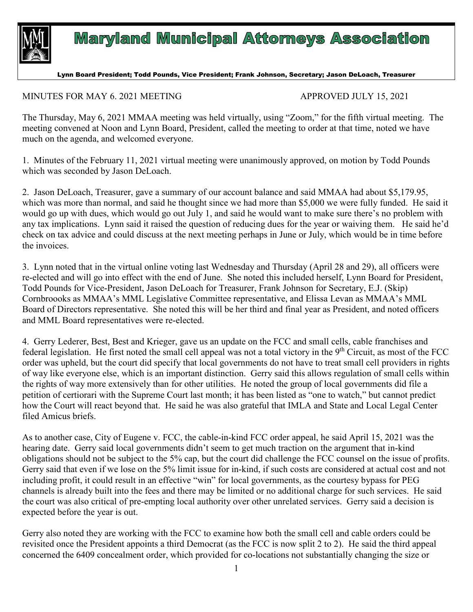

## **Maryland Municipal Attorneys Association**

## Lynn Board President; Todd Pounds, Vice President; Frank Johnson, Secretary; Jason DeLoach, Treasurer

## MINUTES FOR MAY 6. 2021 MEETING APPROVED JULY 15, 2021

The Thursday, May 6, 2021 MMAA meeting was held virtually, using "Zoom," for the fifth virtual meeting. The meeting convened at Noon and Lynn Board, President, called the meeting to order at that time, noted we have much on the agenda, and welcomed everyone.

1. Minutes of the February 11, 2021 virtual meeting were unanimously approved, on motion by Todd Pounds which was seconded by Jason DeLoach.

2. Jason DeLoach, Treasurer, gave a summary of our account balance and said MMAA had about \$5,179.95, which was more than normal, and said he thought since we had more than \$5,000 we were fully funded. He said it would go up with dues, which would go out July 1, and said he would want to make sure there's no problem with any tax implications. Lynn said it raised the question of reducing dues for the year or waiving them. He said he'd check on tax advice and could discuss at the next meeting perhaps in June or July, which would be in time before the invoices.

3. Lynn noted that in the virtual online voting last Wednesday and Thursday (April 28 and 29), all officers were re-elected and will go into effect with the end of June. She noted this included herself, Lynn Board for President, Todd Pounds for Vice-President, Jason DeLoach for Treasurer, Frank Johnson for Secretary, E.J. (Skip) Cornbroooks as MMAA's MML Legislative Committee representative, and Elissa Levan as MMAA's MML Board of Directors representative. She noted this will be her third and final year as President, and noted officers and MML Board representatives were re-elected.

4. Gerry Lederer, Best, Best and Krieger, gave us an update on the FCC and small cells, cable franchises and federal legislation. He first noted the small cell appeal was not a total victory in the  $9<sup>th</sup>$  Circuit, as most of the FCC order was upheld, but the court did specify that local governments do not have to treat small cell providers in rights of way like everyone else, which is an important distinction. Gerry said this allows regulation of small cells within the rights of way more extensively than for other utilities. He noted the group of local governments did file a petition of certiorari with the Supreme Court last month; it has been listed as "one to watch," but cannot predict how the Court will react beyond that. He said he was also grateful that IMLA and State and Local Legal Center filed Amicus briefs.

As to another case, City of Eugene v. FCC, the cable-in-kind FCC order appeal, he said April 15, 2021 was the hearing date. Gerry said local governments didn't seem to get much traction on the argument that in-kind obligations should not be subject to the 5% cap, but the court did challenge the FCC counsel on the issue of profits. Gerry said that even if we lose on the 5% limit issue for in-kind, if such costs are considered at actual cost and not including profit, it could result in an effective "win" for local governments, as the courtesy bypass for PEG channels is already built into the fees and there may be limited or no additional charge for such services. He said the court was also critical of pre-empting local authority over other unrelated services. Gerry said a decision is expected before the year is out.

Gerry also noted they are working with the FCC to examine how both the small cell and cable orders could be revisited once the President appoints a third Democrat (as the FCC is now split 2 to 2). He said the third appeal concerned the 6409 concealment order, which provided for co-locations not substantially changing the size or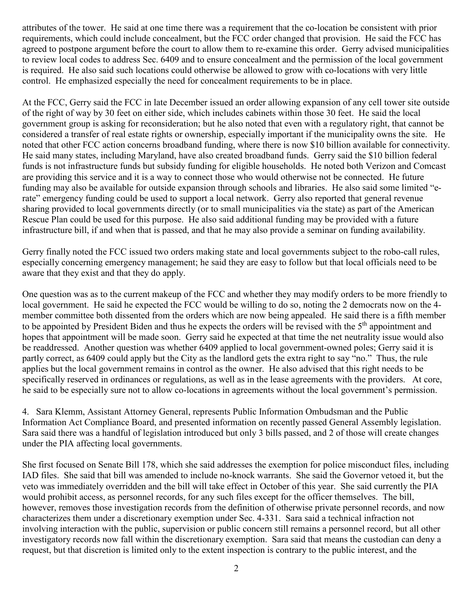attributes of the tower. He said at one time there was a requirement that the co-location be consistent with prior requirements, which could include concealment, but the FCC order changed that provision. He said the FCC has agreed to postpone argument before the court to allow them to re-examine this order. Gerry advised municipalities to review local codes to address Sec. 6409 and to ensure concealment and the permission of the local government is required. He also said such locations could otherwise be allowed to grow with co-locations with very little control. He emphasized especially the need for concealment requirements to be in place.

At the FCC, Gerry said the FCC in late December issued an order allowing expansion of any cell tower site outside of the right of way by 30 feet on either side, which includes cabinets within those 30 feet. He said the local government group is asking for reconsideration; but he also noted that even with a regulatory right, that cannot be considered a transfer of real estate rights or ownership, especially important if the municipality owns the site. He noted that other FCC action concerns broadband funding, where there is now \$10 billion available for connectivity. He said many states, including Maryland, have also created broadband funds. Gerry said the \$10 billion federal funds is not infrastructure funds but subsidy funding for eligible households. He noted both Verizon and Comcast are providing this service and it is a way to connect those who would otherwise not be connected. He future funding may also be available for outside expansion through schools and libraries. He also said some limited "erate" emergency funding could be used to support a local network. Gerry also reported that general revenue sharing provided to local governments directly (or to small municipalities via the state) as part of the American Rescue Plan could be used for this purpose. He also said additional funding may be provided with a future infrastructure bill, if and when that is passed, and that he may also provide a seminar on funding availability.

Gerry finally noted the FCC issued two orders making state and local governments subject to the robo-call rules, especially concerning emergency management; he said they are easy to follow but that local officials need to be aware that they exist and that they do apply.

One question was as to the current makeup of the FCC and whether they may modify orders to be more friendly to local government. He said he expected the FCC would be willing to do so, noting the 2 democrats now on the 4 member committee both dissented from the orders which are now being appealed. He said there is a fifth member to be appointed by President Biden and thus he expects the orders will be revised with the 5<sup>th</sup> appointment and hopes that appointment will be made soon. Gerry said he expected at that time the net neutrality issue would also be readdressed. Another question was whether 6409 applied to local government-owned poles; Gerry said it is partly correct, as 6409 could apply but the City as the landlord gets the extra right to say "no." Thus, the rule applies but the local government remains in control as the owner. He also advised that this right needs to be specifically reserved in ordinances or regulations, as well as in the lease agreements with the providers. At core, he said to be especially sure not to allow co-locations in agreements without the local government's permission.

4. Sara Klemm, Assistant Attorney General, represents Public Information Ombudsman and the Public Information Act Compliance Board, and presented information on recently passed General Assembly legislation. Sara said there was a handful of legislation introduced but only 3 bills passed, and 2 of those will create changes under the PIA affecting local governments.

She first focused on Senate Bill 178, which she said addresses the exemption for police misconduct files, including IAD files. She said that bill was amended to include no-knock warrants. She said the Governor vetoed it, but the veto was immediately overridden and the bill will take effect in October of this year. She said currently the PIA would prohibit access, as personnel records, for any such files except for the officer themselves. The bill, however, removes those investigation records from the definition of otherwise private personnel records, and now characterizes them under a discretionary exemption under Sec. 4-331. Sara said a technical infraction not involving interaction with the public, supervision or public concern still remains a personnel record, but all other investigatory records now fall within the discretionary exemption. Sara said that means the custodian can deny a request, but that discretion is limited only to the extent inspection is contrary to the public interest, and the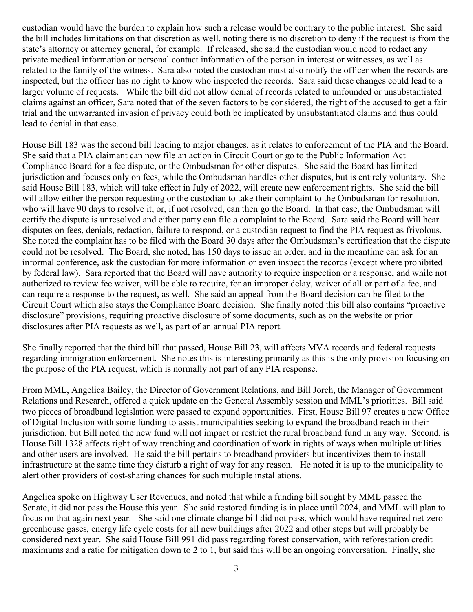custodian would have the burden to explain how such a release would be contrary to the public interest. She said the bill includes limitations on that discretion as well, noting there is no discretion to deny if the request is from the state's attorney or attorney general, for example. If released, she said the custodian would need to redact any private medical information or personal contact information of the person in interest or witnesses, as well as related to the family of the witness. Sara also noted the custodian must also notify the officer when the records are inspected, but the officer has no right to know who inspected the records. Sara said these changes could lead to a larger volume of requests. While the bill did not allow denial of records related to unfounded or unsubstantiated claims against an officer, Sara noted that of the seven factors to be considered, the right of the accused to get a fair trial and the unwarranted invasion of privacy could both be implicated by unsubstantiated claims and thus could lead to denial in that case.

House Bill 183 was the second bill leading to major changes, as it relates to enforcement of the PIA and the Board. She said that a PIA claimant can now file an action in Circuit Court or go to the Public Information Act Compliance Board for a fee dispute, or the Ombudsman for other disputes. She said the Board has limited jurisdiction and focuses only on fees, while the Ombudsman handles other disputes, but is entirely voluntary. She said House Bill 183, which will take effect in July of 2022, will create new enforcement rights. She said the bill will allow either the person requesting or the custodian to take their complaint to the Ombudsman for resolution, who will have 90 days to resolve it, or, if not resolved, can then go the Board. In that case, the Ombudsman will certify the dispute is unresolved and either party can file a complaint to the Board. Sara said the Board will hear disputes on fees, denials, redaction, failure to respond, or a custodian request to find the PIA request as frivolous. She noted the complaint has to be filed with the Board 30 days after the Ombudsman's certification that the dispute could not be resolved. The Board, she noted, has 150 days to issue an order, and in the meantime can ask for an informal conference, ask the custodian for more information or even inspect the records (except where prohibited by federal law). Sara reported that the Board will have authority to require inspection or a response, and while not authorized to review fee waiver, will be able to require, for an improper delay, waiver of all or part of a fee, and can require a response to the request, as well. She said an appeal from the Board decision can be filed to the Circuit Court which also stays the Compliance Board decision. She finally noted this bill also contains "proactive disclosure" provisions, requiring proactive disclosure of some documents, such as on the website or prior disclosures after PIA requests as well, as part of an annual PIA report.

She finally reported that the third bill that passed, House Bill 23, will affects MVA records and federal requests regarding immigration enforcement. She notes this is interesting primarily as this is the only provision focusing on the purpose of the PIA request, which is normally not part of any PIA response.

From MML, Angelica Bailey, the Director of Government Relations, and Bill Jorch, the Manager of Government Relations and Research, offered a quick update on the General Assembly session and MML's priorities. Bill said two pieces of broadband legislation were passed to expand opportunities. First, House Bill 97 creates a new Office of Digital Inclusion with some funding to assist municipalities seeking to expand the broadband reach in their jurisdiction, but Bill noted the new fund will not impact or restrict the rural broadband fund in any way. Second, is House Bill 1328 affects right of way trenching and coordination of work in rights of ways when multiple utilities and other users are involved. He said the bill pertains to broadband providers but incentivizes them to install infrastructure at the same time they disturb a right of way for any reason. He noted it is up to the municipality to alert other providers of cost-sharing chances for such multiple installations.

Angelica spoke on Highway User Revenues, and noted that while a funding bill sought by MML passed the Senate, it did not pass the House this year. She said restored funding is in place until 2024, and MML will plan to focus on that again next year. She said one climate change bill did not pass, which would have required net-zero greenhouse gases, energy life cycle costs for all new buildings after 2022 and other steps but will probably be considered next year. She said House Bill 991 did pass regarding forest conservation, with reforestation credit maximums and a ratio for mitigation down to 2 to 1, but said this will be an ongoing conversation. Finally, she